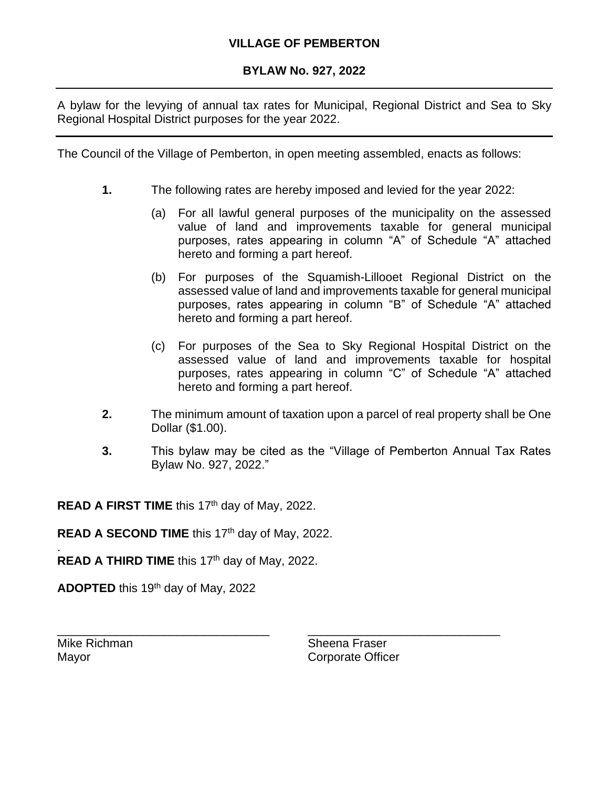## **VILLAGE OF PEMBERTON**

## **BYLAW No. 927, 2022**

A bylaw for the levying of annual tax rates for Municipal, Regional District and Sea to Sky Regional Hospital District purposes for the year 2022.

The Council of the Village of Pemberton, in open meeting assembled, enacts as follows:

- **1.** The following rates are hereby imposed and levied for the year 2022:
	- (a) For all lawful general purposes of the municipality on the assessed value of land and improvements taxable for general municipal purposes, rates appearing in column "A" of Schedule "A" attached hereto and forming a part hereof.
	- (b) For purposes of the Squamish-Lillooet Regional District on the assessed value of land and improvements taxable for general municipal purposes, rates appearing in column "B" of Schedule "A" attached hereto and forming a part hereof.
	- (c) For purposes of the Sea to Sky Regional Hospital District on the assessed value of land and improvements taxable for hospital purposes, rates appearing in column "C" of Schedule "A" attached hereto and forming a part hereof.
- **2.** The minimum amount of taxation upon a parcel of real property shall be One Dollar (\$1.00).
- **3.** This bylaw may be cited as the "Village of Pemberton Annual Tax Rates Bylaw No. 927, 2022."

**READ A FIRST TIME** this 17<sup>th</sup> day of May, 2022.

READ A SECOND TIME this 17<sup>th</sup> day of May, 2022.

READ A THIRD TIME this 17<sup>th</sup> day of May, 2022.

**ADOPTED** this 19<sup>th</sup> day of May, 2022

.

Mike Richman Sheena Fraser Mayor **Component Component Component Component Component Component Component Component Component Component Component Component Component Component Component Component Component Component Component Component Component Compo** 

\_\_\_\_\_\_\_\_\_\_\_\_\_\_\_\_\_\_\_\_\_\_\_\_\_\_\_\_\_\_\_\_ \_\_\_\_\_\_\_\_\_\_\_\_\_\_\_\_\_\_\_\_\_\_\_\_\_\_\_\_\_